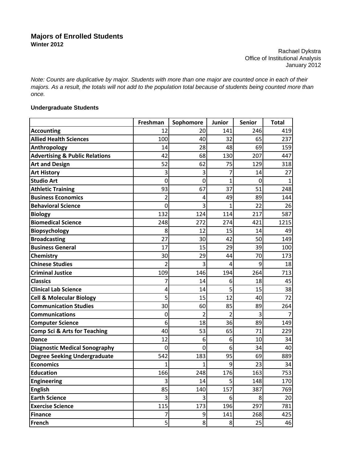## **Majors of Enrolled Students Winter 2012**

Rachael Dykstra Office of Institutional Analysis January 2012

*Note: Counts are duplicative by major. Students with more than one major are counted once in each of their majors. As a result, the totals will not add to the population total because of students being counted more than once.*

## **Undergraduate Students**

|                                           | Freshman | Sophomore      | Junior         | <b>Senior</b> | <b>Total</b> |
|-------------------------------------------|----------|----------------|----------------|---------------|--------------|
| <b>Accounting</b>                         | 12       | 20             | 141            | 246           | 419          |
| <b>Allied Health Sciences</b>             | 100      | 40             | 32             | 65            | 237          |
| Anthropology                              | 14       | 28             | 48             | 69            | 159          |
| <b>Advertising &amp; Public Relations</b> | 42       | 68             | 130            | 207           | 447          |
| <b>Art and Design</b>                     | 52       | 62             | 75             | 129           | 318          |
| <b>Art History</b>                        | 3        | 3              | 7              | 14            | 27           |
| <b>Studio Art</b>                         | 0        | 0              | 1              | 0             |              |
| <b>Athletic Training</b>                  | 93       | 67             | 37             | 51            | 248          |
| <b>Business Economics</b>                 | 2        | 4              | 49             | 89            | 144          |
| <b>Behavioral Science</b>                 | 0        | 3              | 1              | 22            | 26           |
| <b>Biology</b>                            | 132      | 124            | 114            | 217           | 587          |
| <b>Biomedical Science</b>                 | 248      | 272            | 274            | 421           | 1215         |
| <b>Biopsychology</b>                      | 8        | 12             | 15             | 14            | 49           |
| <b>Broadcasting</b>                       | 27       | 30             | 42             | 50            | 149          |
| <b>Business General</b>                   | 17       | 15             | 29             | 39            | 100          |
| Chemistry                                 | 30       | 29             | 44             | 70            | 173          |
| <b>Chinese Studies</b>                    | 2        | 3              | 4              | 9             | 18           |
| <b>Criminal Justice</b>                   | 109      | 146            | 194            | 264           | 713          |
| <b>Classics</b>                           |          | 14             | 6              | 18            | 45           |
| <b>Clinical Lab Science</b>               | 4        | 14             | 5              | 15            | 38           |
| <b>Cell &amp; Molecular Biology</b>       | 5        | 15             | 12             | 40            | 72           |
| <b>Communication Studies</b>              | 30       | 60             | 85             | 89            | 264          |
| <b>Communications</b>                     | 0        | 2              | 2              | 3             |              |
| <b>Computer Science</b>                   | 6        | 18             | 36             | 89            | 149          |
| <b>Comp Sci &amp; Arts for Teaching</b>   | 40       | 53             | 65             | 71            | 229          |
| <b>Dance</b>                              | 12       | 6              | 6              | 10            | 34           |
| <b>Diagnostic Medical Sonography</b>      | 0        | 0              | 6              | 34            | 40           |
| <b>Degree Seeking Undergraduate</b>       | 542      | 183            | 95             | 69            | 889          |
| <b>Economics</b>                          | 1        | 1              | 9              | 23            | 34           |
| <b>Education</b>                          | 166      | 248            | 176            | 163           | 753          |
| <b>Engineering</b>                        | 3        | 14             | $\mathsf{5}$   | 148           | 170          |
| <b>English</b>                            | 85       | 140            | 157            | 387           | 769          |
| <b>Earth Science</b>                      | 3        | $\vert$ 3      | $6 \mid$       | 8             | 20           |
| <b>Exercise Science</b>                   | 115      | 173            | 196            | 297           | 781          |
| <b>Finance</b>                            | 7        | $\overline{9}$ | 141            | 268           | 425          |
| French                                    | 5        | 8              | 8 <sup>1</sup> | 25            | 46           |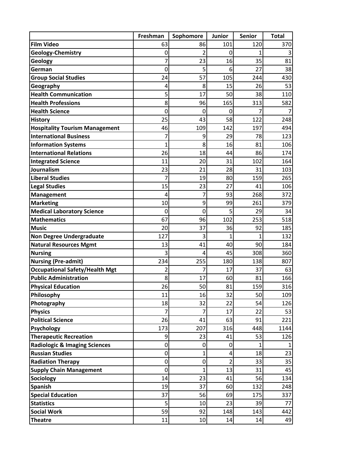|                                          | Freshman    | Sophomore   | Junior | <b>Senior</b> | <b>Total</b> |
|------------------------------------------|-------------|-------------|--------|---------------|--------------|
| <b>Film Video</b>                        | 63          | 86          | 101    | 120           | 370          |
| <b>Geology-Chemistry</b>                 | 0           | 2           | 0      | 1             |              |
| Geology                                  | 7           | 23          | 16     | 35            | 81           |
| German                                   | 0           | 5           | 6      | 27            | 38           |
| <b>Group Social Studies</b>              | 24          | 57          | 105    | 244           | 430          |
| Geography                                | 4           | 8           | 15     | 26            | 53           |
| <b>Health Communication</b>              | 5           | 17          | 50     | 38            | 110          |
| <b>Health Professions</b>                | 8           | 96          | 165    | 313           | 582          |
| <b>Health Science</b>                    | $\mathbf 0$ | 0           | 0      | 7             |              |
| <b>History</b>                           | 25          | 43          | 58     | 122           | 248          |
| <b>Hospitality Tourism Management</b>    | 46          | 109         | 142    | 197           | 494          |
| <b>International Business</b>            |             | 9           | 29     | 78            | 123          |
| <b>Information Systems</b>               | 1           | 8           | 16     | 81            | 106          |
| <b>International Relations</b>           | 26          | 18          | 44     | 86            | 174          |
| <b>Integrated Science</b>                | 11          | 20          | 31     | 102           | 164          |
| Journalism                               | 23          | 21          | 28     | 31            | 103          |
| <b>Liberal Studies</b>                   |             | 19          | 80     | 159           | 265          |
| <b>Legal Studies</b>                     | 15          | 23          | 27     | 41            | 106          |
| <b>Management</b>                        | 4           | 7           | 93     | 268           | 372          |
| <b>Marketing</b>                         | 10          | 9           | 99     | 261           | 379          |
| <b>Medical Laboratory Science</b>        | 0           | 0           | 5      | 29            | 34           |
| <b>Mathematics</b>                       | 67          | 96          | 102    | 253           | 518          |
| <b>Music</b>                             | 20          | 37          | 36     | 92            | 185          |
| <b>Non Degree Undergraduate</b>          | 127         | 3           |        | 1             | 132          |
| <b>Natural Resources Mgmt</b>            | 13          | 41          | 40     | 90            | 184          |
| <b>Nursing</b>                           | 3           | 4           | 45     | 308           | 360          |
| <b>Nursing (Pre-admit)</b>               | 234         | 255         | 180    | 138           | 807          |
| <b>Occupational Safety/Health Mgt</b>    | 2           | 7           | 17     | 37            | 63           |
| <b>Public Administration</b>             | 8           | 17          | 60     | 81            | 166          |
| <b>Physical Education</b>                | 26          | 50          | 81     | 159           | 316          |
| Philosophy                               | 11          | 16          | 32     | 50            | 109          |
| Photography                              | 18          | 32          | 22     | 54            | 126          |
| <b>Physics</b>                           | 7           | 7           | 17     | 22            | 53           |
| <b>Political Science</b>                 | 26          | 41          | 63     | 91            | 221          |
| <b>Psychology</b>                        | 173         | 207         | 316    | 448           | 1144         |
| <b>Therapeutic Recreation</b>            | 9           | 23          | 41     | 53            | 126          |
| <b>Radiologic &amp; Imaging Sciences</b> | $\mathbf 0$ | $\mathbf 0$ | 0      | 1             |              |
| <b>Russian Studies</b>                   | 0           | 1           | 4      | 18            | 23           |
| <b>Radiation Therapy</b>                 | $\mathbf 0$ | $\mathbf 0$ | 2      | 33            | 35           |
| <b>Supply Chain Management</b>           | $\mathbf 0$ | 1           | 13     | 31            | 45           |
| Sociology                                | 14          | 23          | 41     | 56            | 134          |
| <b>Spanish</b>                           | 19          | 37          | 60     | 132           | 248          |
| <b>Special Education</b>                 | 37          | 56          | 69     | 175           | 337          |
| <b>Statistics</b>                        | 5           | 10          | 23     | 39            | 77           |
| <b>Social Work</b>                       | 59          | 92          | 148    | 143           | 442          |
| <b>Theatre</b>                           | 11          | 10          | 14     | 14            | 49           |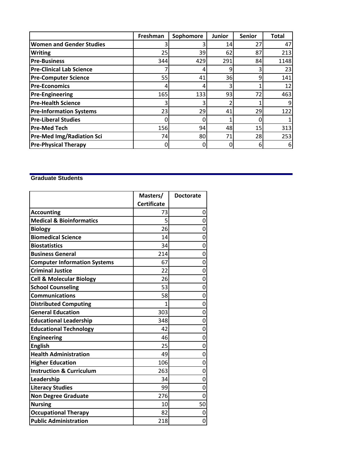|                                  | Freshman | Sophomore | <b>Junior</b> | <b>Senior</b> | <b>Total</b> |
|----------------------------------|----------|-----------|---------------|---------------|--------------|
| <b>Women and Gender Studies</b>  |          |           | 14            | 27            | 47           |
| <b>Writing</b>                   | 25       | 39        | 62            | 87            | 213          |
| <b>Pre-Business</b>              | 344      | 429       | 291           | 84            | 1148         |
| <b>Pre-Clinical Lab Science</b>  |          |           |               |               | 23           |
| <b>Pre-Computer Science</b>      | 55       | 41        | 36            | 9             | 141          |
| <b>Pre-Economics</b>             |          |           |               |               | 12           |
| <b>Pre-Engineering</b>           | 165      | 133       | 93            | 72            | 463          |
| <b>Pre-Health Science</b>        |          |           |               |               |              |
| <b>Pre-Information Systems</b>   | 23       | 29        | 41            | 29            | 122          |
| <b>Pre-Liberal Studies</b>       |          |           |               |               |              |
| <b>Pre-Med Tech</b>              | 156      | 94        | 48            | 15            | 313          |
| <b>Pre-Med Img/Radiation Sci</b> | 74       | 80        | 71            | 28            | 253          |
| <b>Pre-Physical Therapy</b>      |          |           |               | 6             | 6            |

## **Graduate Students**

|                                     | Masters/           | <b>Doctorate</b> |
|-------------------------------------|--------------------|------------------|
|                                     | <b>Certificate</b> |                  |
| <b>Accounting</b>                   | 73                 | 0                |
| <b>Medical &amp; Bioinformatics</b> | 5                  | 0                |
| <b>Biology</b>                      | 26                 | 0                |
| <b>Biomedical Science</b>           | 14                 | 0                |
| <b>Biostatistics</b>                | 34                 | 0                |
| <b>Business General</b>             | 214                | 0                |
| <b>Computer Information Systems</b> | 67                 | 0                |
| <b>Criminal Justice</b>             | 22                 | 0                |
| <b>Cell &amp; Molecular Biology</b> | 26                 | 0                |
| <b>School Counseling</b>            | 53                 | 0                |
| <b>Communications</b>               | 58                 | 0                |
| <b>Distributed Computing</b>        | 1                  | 0                |
| <b>General Education</b>            | 303                | 0                |
| <b>Educational Leadership</b>       | 348                | 0                |
| <b>Educational Technology</b>       | 42                 | 0                |
| <b>Engineering</b>                  | 46                 | 0                |
| <b>English</b>                      | 25                 | 0                |
| <b>Health Administration</b>        | 49                 | 0                |
| <b>Higher Education</b>             | 106                | 0                |
| <b>Instruction &amp; Curriculum</b> | 263                | 0                |
| Leadership                          | 34                 | 0                |
| <b>Literacy Studies</b>             | 99                 | 0                |
| <b>Non Degree Graduate</b>          | 276                | 0                |
| <b>Nursing</b>                      | 10                 | 50               |
| <b>Occupational Therapy</b>         | 82                 | 0                |
| <b>Public Administration</b>        | 218                | 0                |